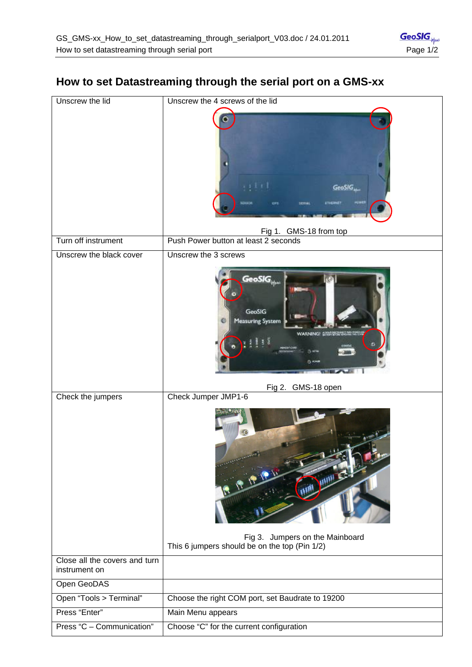| Unscrew the lid                                | Unscrew the 4 screws of the lid                                                              |
|------------------------------------------------|----------------------------------------------------------------------------------------------|
|                                                | 1111<br>GeoSIG<br><b>PUWER</b><br>Fig 1. GMS-18 from top                                     |
| Turn off instrument                            | Push Power button at least 2 seconds                                                         |
| Unscrew the black cover                        | Unscrew the 3 screws                                                                         |
|                                                | GeoSIG<br>kei<br><b>GeoSIG</b><br><b>Measuring System</b><br><b>WARNING!</b><br><b>Final</b> |
|                                                | Fig 2. GMS-18 open                                                                           |
| Check the jumpers                              | Check Jumper JMP1-6                                                                          |
|                                                | P 12-12-12<br>TIMI JUIN EZ<br>Fig 3. Jumpers on the Mainboard                                |
|                                                | This 6 jumpers should be on the top (Pin 1/2)                                                |
| Close all the covers and turn<br>instrument on |                                                                                              |
| Open GeoDAS                                    |                                                                                              |
| Open "Tools > Terminal"                        | Choose the right COM port, set Baudrate to 19200                                             |
| Press "Enter"                                  | Main Menu appears                                                                            |

## **How to set Datastreaming through the serial port on a GMS-xx**